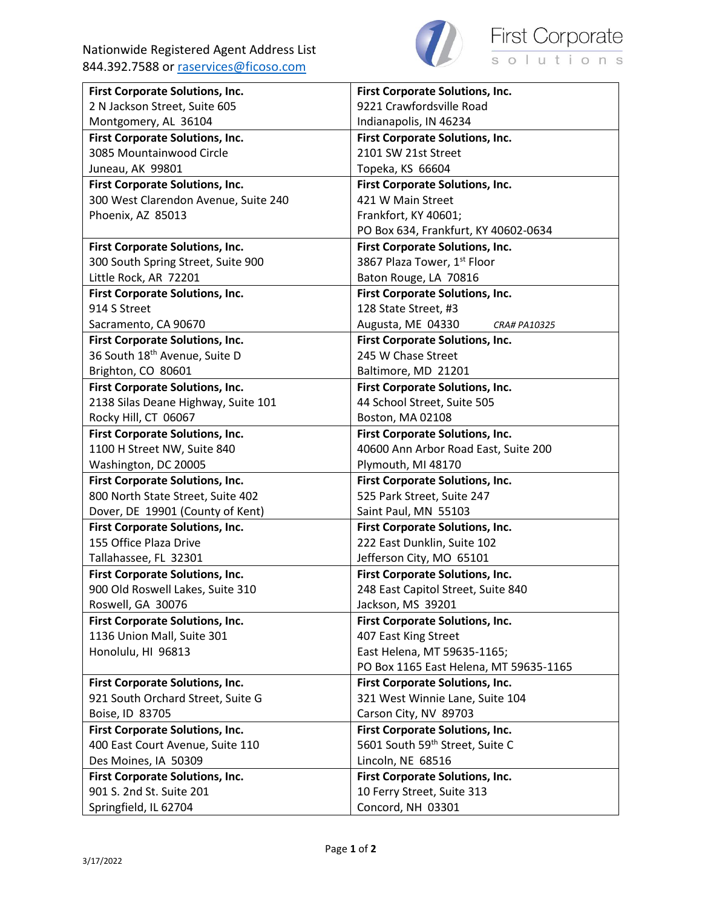

| First Corporate Solutions, Inc.           | First Corporate Solutions, Inc.             |
|-------------------------------------------|---------------------------------------------|
| 2 N Jackson Street, Suite 605             | 9221 Crawfordsville Road                    |
| Montgomery, AL 36104                      | Indianapolis, IN 46234                      |
| First Corporate Solutions, Inc.           | <b>First Corporate Solutions, Inc.</b>      |
| 3085 Mountainwood Circle                  | 2101 SW 21st Street                         |
| Juneau, AK 99801                          | Topeka, KS 66604                            |
| <b>First Corporate Solutions, Inc.</b>    | <b>First Corporate Solutions, Inc.</b>      |
| 300 West Clarendon Avenue, Suite 240      | 421 W Main Street                           |
| Phoenix, AZ 85013                         | Frankfort, KY 40601;                        |
|                                           | PO Box 634, Frankfurt, KY 40602-0634        |
| <b>First Corporate Solutions, Inc.</b>    | <b>First Corporate Solutions, Inc.</b>      |
| 300 South Spring Street, Suite 900        | 3867 Plaza Tower, 1st Floor                 |
| Little Rock, AR 72201                     | Baton Rouge, LA 70816                       |
| First Corporate Solutions, Inc.           | <b>First Corporate Solutions, Inc.</b>      |
| 914 S Street                              | 128 State Street, #3                        |
| Sacramento, CA 90670                      | Augusta, ME 04330<br><b>CRA# PA10325</b>    |
| First Corporate Solutions, Inc.           | <b>First Corporate Solutions, Inc.</b>      |
| 36 South 18 <sup>th</sup> Avenue, Suite D | 245 W Chase Street                          |
| Brighton, CO 80601                        | Baltimore, MD 21201                         |
| <b>First Corporate Solutions, Inc.</b>    | <b>First Corporate Solutions, Inc.</b>      |
| 2138 Silas Deane Highway, Suite 101       | 44 School Street, Suite 505                 |
| Rocky Hill, CT 06067                      | Boston, MA 02108                            |
| <b>First Corporate Solutions, Inc.</b>    | First Corporate Solutions, Inc.             |
| 1100 H Street NW, Suite 840               | 40600 Ann Arbor Road East, Suite 200        |
| Washington, DC 20005                      | Plymouth, MI 48170                          |
| First Corporate Solutions, Inc.           | <b>First Corporate Solutions, Inc.</b>      |
| 800 North State Street, Suite 402         | 525 Park Street, Suite 247                  |
| Dover, DE 19901 (County of Kent)          | Saint Paul, MN 55103                        |
| <b>First Corporate Solutions, Inc.</b>    | <b>First Corporate Solutions, Inc.</b>      |
| 155 Office Plaza Drive                    | 222 East Dunklin, Suite 102                 |
| Tallahassee, FL 32301                     | Jefferson City, MO 65101                    |
| First Corporate Solutions, Inc.           | First Corporate Solutions, Inc.             |
| 900 Old Roswell Lakes, Suite 310          | 248 East Capitol Street, Suite 840          |
| Roswell, GA 30076                         | Jackson, MS 39201                           |
| First Corporate Solutions, Inc.           | First Corporate Solutions, Inc.             |
| 1136 Union Mall, Suite 301                | 407 East King Street                        |
| Honolulu, HI 96813                        | East Helena, MT 59635-1165;                 |
|                                           | PO Box 1165 East Helena, MT 59635-1165      |
| First Corporate Solutions, Inc.           | <b>First Corporate Solutions, Inc.</b>      |
| 921 South Orchard Street, Suite G         | 321 West Winnie Lane, Suite 104             |
| Boise, ID 83705                           | Carson City, NV 89703                       |
| First Corporate Solutions, Inc.           | <b>First Corporate Solutions, Inc.</b>      |
| 400 East Court Avenue, Suite 110          | 5601 South 59 <sup>th</sup> Street, Suite C |
| Des Moines, IA 50309                      | Lincoln, NE 68516                           |
| First Corporate Solutions, Inc.           | First Corporate Solutions, Inc.             |
| 901 S. 2nd St. Suite 201                  | 10 Ferry Street, Suite 313                  |
| Springfield, IL 62704                     | Concord, NH 03301                           |